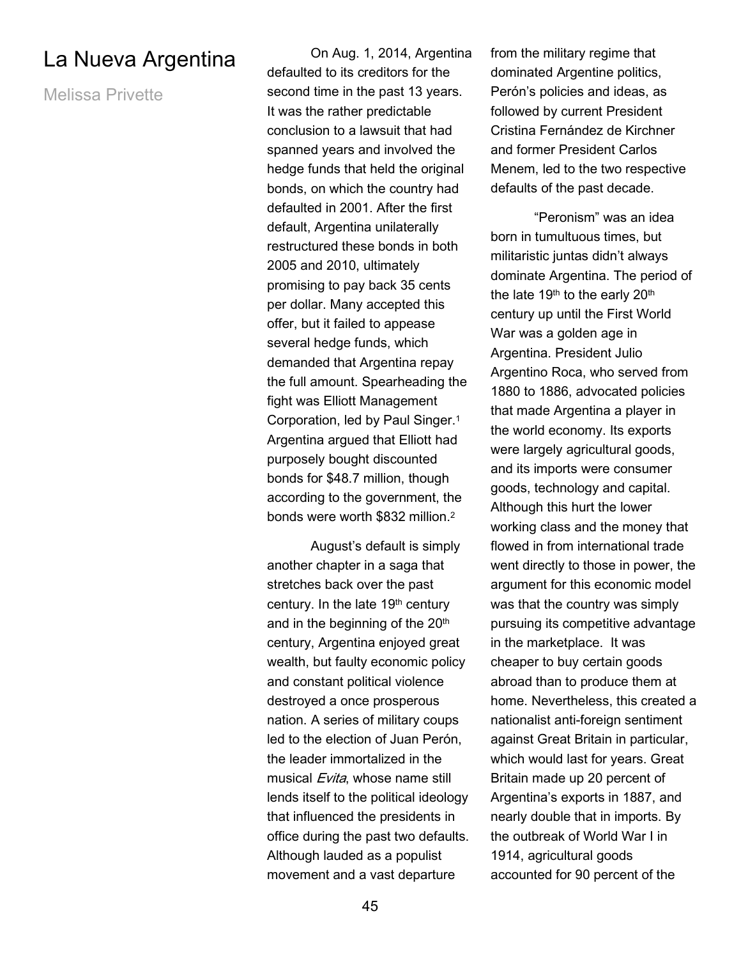## La Nueva Argentina

Melissa Privette

On Aug. 1, 2014, Argentina defaulted to its creditors for the second time in the past 13 years. It was the rather predictable conclusion to a lawsuit that had spanned years and involved the hedge funds that held the original bonds, on which the country had defaulted in 2001. After the first default, Argentina unilaterally restructured these bonds in both 2005 and 2010, ultimately promising to pay back 35 cents per dollar. Many accepted this offer, but it failed to appease several hedge funds, which demanded that Argentina repay the full amount. Spearheading the fight was Elliott Management Corporation, led by Paul Singer.<sup>1</sup> Argentina argued that Elliott had purposely bought discounted bonds for \$48.7 million, though according to the government, the bonds were worth \$832 million.<sup>2</sup>

 August's default is simply another chapter in a saga that stretches back over the past century. In the late 19th century and in the beginning of the  $20<sup>th</sup>$ century, Argentina enjoyed great wealth, but faulty economic policy and constant political violence destroyed a once prosperous nation. A series of military coups led to the election of Juan Perón, the leader immortalized in the musical Evita, whose name still lends itself to the political ideology that influenced the presidents in office during the past two defaults. Although lauded as a populist movement and a vast departure

from the military regime that dominated Argentine politics, Perón's policies and ideas, as followed by current President Cristina Fernández de Kirchner and former President Carlos Menem, led to the two respective defaults of the past decade.

 "Peronism" was an idea born in tumultuous times, but militaristic juntas didn't always dominate Argentina. The period of the late 19<sup>th</sup> to the early 20<sup>th</sup> century up until the First World War was a golden age in Argentina. President Julio Argentino Roca, who served from 1880 to 1886, advocated policies that made Argentina a player in the world economy. Its exports were largely agricultural goods, and its imports were consumer goods, technology and capital. Although this hurt the lower working class and the money that flowed in from international trade went directly to those in power, the argument for this economic model was that the country was simply pursuing its competitive advantage in the marketplace. It was cheaper to buy certain goods abroad than to produce them at home. Nevertheless, this created a nationalist anti-foreign sentiment against Great Britain in particular, which would last for years. Great Britain made up 20 percent of Argentina's exports in 1887, and nearly double that in imports. By the outbreak of World War I in 1914, agricultural goods accounted for 90 percent of the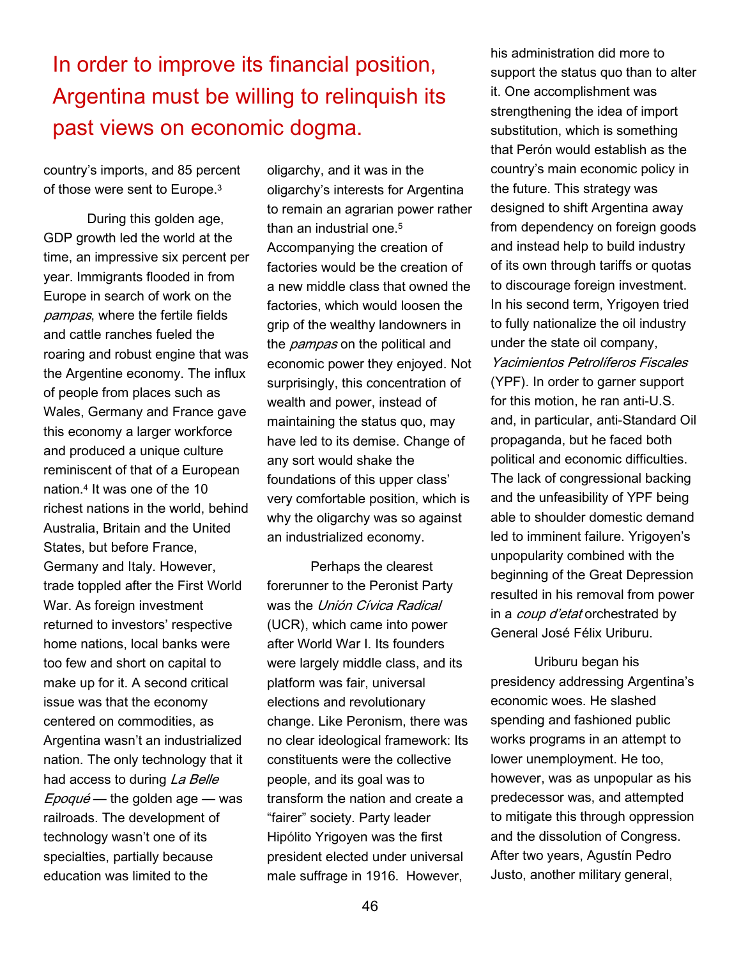In order to improve its financial position, Argentina must be willing to relinquish its past views on economic dogma.

country's imports, and 85 percent of those were sent to Europe.<sup>3</sup>

 During this golden age, GDP growth led the world at the time, an impressive six percent per year. Immigrants flooded in from Europe in search of work on the pampas, where the fertile fields and cattle ranches fueled the roaring and robust engine that was the Argentine economy. The influx of people from places such as Wales, Germany and France gave this economy a larger workforce and produced a unique culture reminiscent of that of a European nation.<sup>4</sup> It was one of the 10 richest nations in the world, behind Australia, Britain and the United States, but before France, Germany and Italy. However, trade toppled after the First World War. As foreign investment returned to investors' respective home nations, local banks were too few and short on capital to make up for it. A second critical issue was that the economy centered on commodities, as Argentina wasn't an industrialized nation. The only technology that it had access to during La Belle  $Epoqu\acute{e}$  — the golden age — was railroads. The development of technology wasn't one of its specialties, partially because education was limited to the

oligarchy, and it was in the oligarchy's interests for Argentina to remain an agrarian power rather than an industrial one.<sup>5</sup> Accompanying the creation of factories would be the creation of a new middle class that owned the factories, which would loosen the grip of the wealthy landowners in the *pampas* on the political and economic power they enjoyed. Not surprisingly, this concentration of wealth and power, instead of maintaining the status quo, may have led to its demise. Change of any sort would shake the foundations of this upper class' very comfortable position, which is why the oligarchy was so against an industrialized economy.

 Perhaps the clearest forerunner to the Peronist Party was the Unión Cívica Radical (UCR), which came into power after World War I. Its founders were largely middle class, and its platform was fair, universal elections and revolutionary change. Like Peronism, there was no clear ideological framework: Its constituents were the collective people, and its goal was to transform the nation and create a "fairer" society. Party leader Hipólito Yrigoyen was the first president elected under universal male suffrage in 1916. However,

his administration did more to support the status quo than to alter it. One accomplishment was strengthening the idea of import substitution, which is something that Perón would establish as the country's main economic policy in the future. This strategy was designed to shift Argentina away from dependency on foreign goods and instead help to build industry of its own through tariffs or quotas to discourage foreign investment. In his second term, Yrigoyen tried to fully nationalize the oil industry under the state oil company, Yacimientos Petrolíferos Fiscales (YPF). In order to garner support for this motion, he ran anti-U.S. and, in particular, anti-Standard Oil propaganda, but he faced both political and economic difficulties. The lack of congressional backing and the unfeasibility of YPF being able to shoulder domestic demand led to imminent failure. Yrigoyen's unpopularity combined with the beginning of the Great Depression resulted in his removal from power in a *coup d'etat* orchestrated by General José Félix Uriburu.

Uriburu began his presidency addressing Argentina's economic woes. He slashed spending and fashioned public works programs in an attempt to lower unemployment. He too, however, was as unpopular as his predecessor was, and attempted to mitigate this through oppression and the dissolution of Congress. After two years, Agustín Pedro Justo, another military general,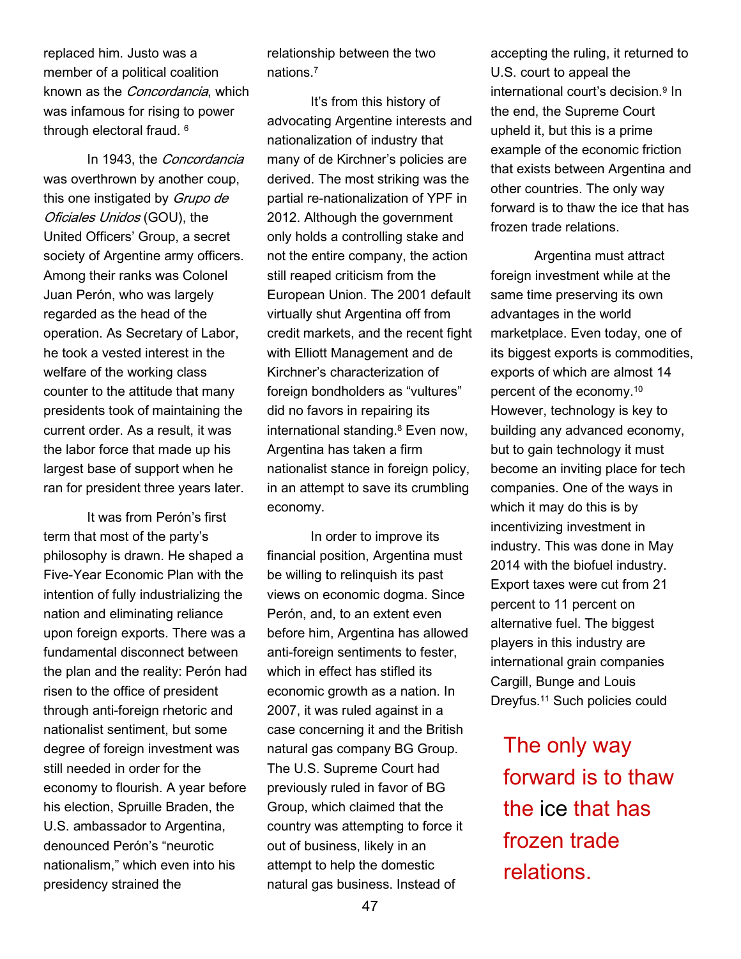replaced him. Justo was a member of a political coalition known as the Concordancia, which was infamous for rising to power through electoral fraud. <sup>6</sup>

 In 1943, the Concordancia was overthrown by another coup, this one instigated by Grupo de Oficiales Unidos (GOU), the United Officers' Group, a secret society of Argentine army officers. Among their ranks was Colonel Juan Perón, who was largely regarded as the head of the operation. As Secretary of Labor, he took a vested interest in the welfare of the working class counter to the attitude that many presidents took of maintaining the current order. As a result, it was the labor force that made up his largest base of support when he ran for president three years later.

 It was from Perón's first term that most of the party's philosophy is drawn. He shaped a Five-Year Economic Plan with the intention of fully industrializing the nation and eliminating reliance upon foreign exports. There was a fundamental disconnect between the plan and the reality: Perón had risen to the office of president through anti-foreign rhetoric and nationalist sentiment, but some degree of foreign investment was still needed in order for the economy to flourish. A year before his election, Spruille Braden, the U.S. ambassador to Argentina, denounced Perón's "neurotic nationalism," which even into his presidency strained the

relationship between the two nations.<sup>7</sup>

 It's from this history of advocating Argentine interests and nationalization of industry that many of de Kirchner's policies are derived. The most striking was the partial re-nationalization of YPF in 2012. Although the government only holds a controlling stake and not the entire company, the action still reaped criticism from the European Union. The 2001 default virtually shut Argentina off from credit markets, and the recent fight with Elliott Management and de Kirchner's characterization of foreign bondholders as "vultures" did no favors in repairing its international standing.<sup>8</sup> Even now, Argentina has taken a firm nationalist stance in foreign policy, in an attempt to save its crumbling economy.

 In order to improve its financial position, Argentina must be willing to relinquish its past views on economic dogma. Since Perón, and, to an extent even before him, Argentina has allowed anti-foreign sentiments to fester, which in effect has stifled its economic growth as a nation. In 2007, it was ruled against in a case concerning it and the British natural gas company BG Group. The U.S. Supreme Court had previously ruled in favor of BG Group, which claimed that the country was attempting to force it out of business, likely in an attempt to help the domestic natural gas business. Instead of

accepting the ruling, it returned to U.S. court to appeal the international court's decision.<sup>9</sup> In the end, the Supreme Court upheld it, but this is a prime example of the economic friction that exists between Argentina and other countries. The only way forward is to thaw the ice that has frozen trade relations.

Argentina must attract foreign investment while at the same time preserving its own advantages in the world marketplace. Even today, one of its biggest exports is commodities, exports of which are almost 14 percent of the economy.<sup>10</sup> However, technology is key to building any advanced economy, but to gain technology it must become an inviting place for tech companies. One of the ways in which it may do this is by incentivizing investment in industry. This was done in May 2014 with the biofuel industry. Export taxes were cut from 21 percent to 11 percent on alternative fuel. The biggest players in this industry are international grain companies Cargill, Bunge and Louis Dreyfus.11 Such policies could

The only way forward is to thaw the ice that has frozen trade relations.